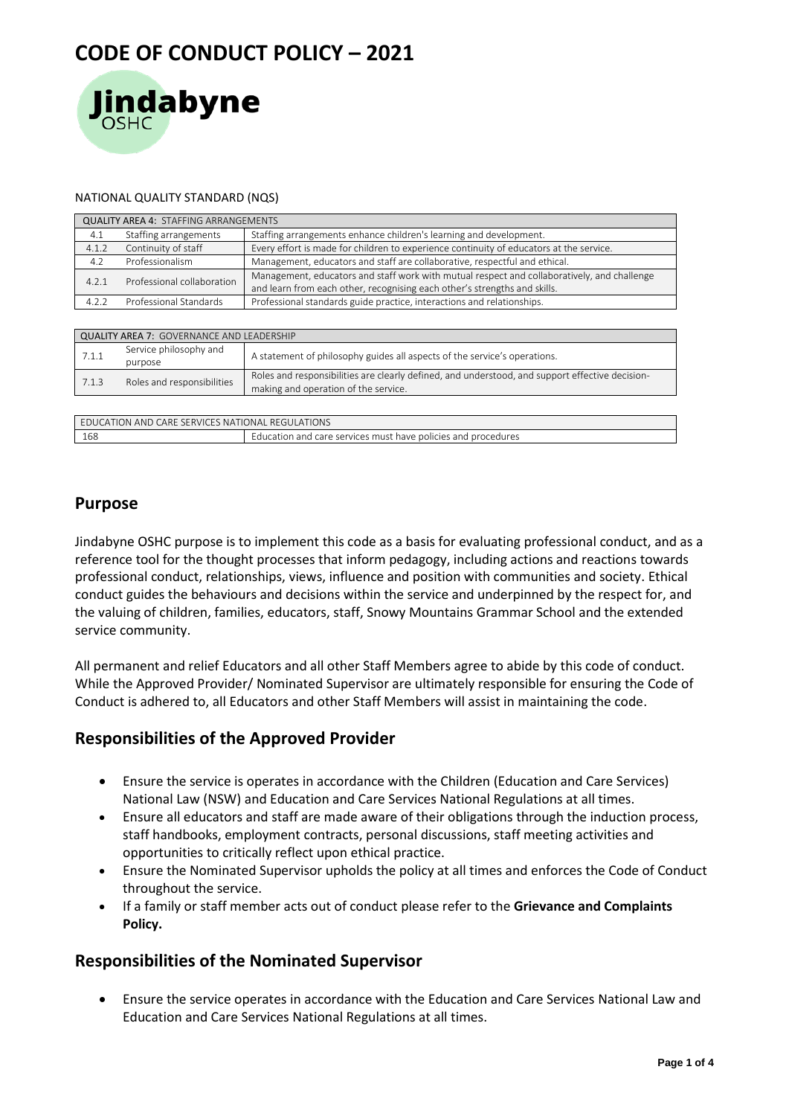

#### NATIONAL QUALITY STANDARD (NQS)

| <b>QUALITY AREA 4: STAFFING ARRANGEMENTS</b> |                            |                                                                                                                                                                          |  |  |
|----------------------------------------------|----------------------------|--------------------------------------------------------------------------------------------------------------------------------------------------------------------------|--|--|
| 4.1                                          | Staffing arrangements      | Staffing arrangements enhance children's learning and development.                                                                                                       |  |  |
| 4.1.2                                        | Continuity of staff        | Every effort is made for children to experience continuity of educators at the service.                                                                                  |  |  |
| 4.2                                          | Professionalism            | Management, educators and staff are collaborative, respectful and ethical.                                                                                               |  |  |
| 4.2.1                                        | Professional collaboration | Management, educators and staff work with mutual respect and collaboratively, and challenge<br>and learn from each other, recognising each other's strengths and skills. |  |  |
| 4.2.2                                        | Professional Standards     | Professional standards guide practice, interactions and relationships.                                                                                                   |  |  |

| <b>QUALITY AREA 7: GOVERNANCE AND LEADERSHIP</b> |                                   |                                                                                                                                         |  |  |
|--------------------------------------------------|-----------------------------------|-----------------------------------------------------------------------------------------------------------------------------------------|--|--|
| 7.1.1                                            | Service philosophy and<br>purpose | A statement of philosophy guides all aspects of the service's operations.                                                               |  |  |
| 7.1.3                                            | Roles and responsibilities        | Roles and responsibilities are clearly defined, and understood, and support effective decision-<br>making and operation of the service. |  |  |
|                                                  |                                   |                                                                                                                                         |  |  |

| EDUCATION AND CARE SERVICES NATIONAL REGULATIONS |                                                               |  |
|--------------------------------------------------|---------------------------------------------------------------|--|
| 168                                              | Education and care services must have policies and procedures |  |

## **Purpose**

Jindabyne OSHC purpose is to implement this code as a basis for evaluating professional conduct, and as a reference tool for the thought processes that inform pedagogy, including actions and reactions towards professional conduct, relationships, views, influence and position with communities and society. Ethical conduct guides the behaviours and decisions within the service and underpinned by the respect for, and the valuing of children, families, educators, staff, Snowy Mountains Grammar School and the extended service community.

All permanent and relief Educators and all other Staff Members agree to abide by this code of conduct. While the Approved Provider/ Nominated Supervisor are ultimately responsible for ensuring the Code of Conduct is adhered to, all Educators and other Staff Members will assist in maintaining the code.

## **Responsibilities of the Approved Provider**

- Ensure the service is operates in accordance with the Children (Education and Care Services) National Law (NSW) and Education and Care Services National Regulations at all times.
- Ensure all educators and staff are made aware of their obligations through the induction process, staff handbooks, employment contracts, personal discussions, staff meeting activities and opportunities to critically reflect upon ethical practice.
- Ensure the Nominated Supervisor upholds the policy at all times and enforces the Code of Conduct throughout the service.
- If a family or staff member acts out of conduct please refer to the **Grievance and Complaints Policy.**

## **Responsibilities of the Nominated Supervisor**

• Ensure the service operates in accordance with the Education and Care Services National Law and Education and Care Services National Regulations at all times.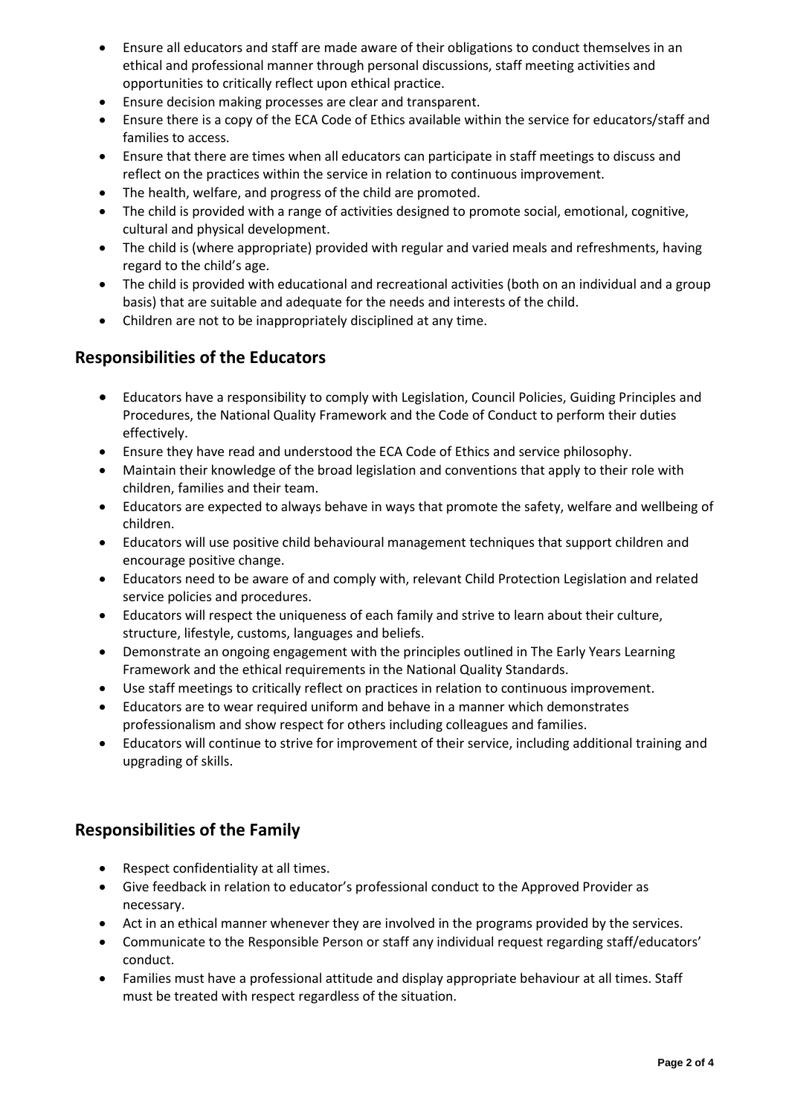- Ensure all educators and staff are made aware of their obligations to conduct themselves in an ethical and professional manner through personal discussions, staff meeting activities and opportunities to critically reflect upon ethical practice.
- Ensure decision making processes are clear and transparent.
- Ensure there is a copy of the ECA Code of Ethics available within the service for educators/staff and families to access.
- Ensure that there are times when all educators can participate in staff meetings to discuss and reflect on the practices within the service in relation to continuous improvement.
- The health, welfare, and progress of the child are promoted.
- The child is provided with a range of activities designed to promote social, emotional, cognitive, cultural and physical development.
- The child is (where appropriate) provided with regular and varied meals and refreshments, having regard to the child's age.
- The child is provided with educational and recreational activities (both on an individual and a group basis) that are suitable and adequate for the needs and interests of the child.
- Children are not to be inappropriately disciplined at any time.

# **Responsibilities of the Educators**

- Educators have a responsibility to comply with Legislation, Council Policies, Guiding Principles and Procedures, the National Quality Framework and the Code of Conduct to perform their duties effectively.
- Ensure they have read and understood the ECA Code of Ethics and service philosophy.
- Maintain their knowledge of the broad legislation and conventions that apply to their role with children, families and their team.
- Educators are expected to always behave in ways that promote the safety, welfare and wellbeing of children.
- Educators will use positive child behavioural management techniques that support children and encourage positive change.
- Educators need to be aware of and comply with, relevant Child Protection Legislation and related service policies and procedures.
- Educators will respect the uniqueness of each family and strive to learn about their culture, structure, lifestyle, customs, languages and beliefs.
- Demonstrate an ongoing engagement with the principles outlined in The Early Years Learning Framework and the ethical requirements in the National Quality Standards.
- Use staff meetings to critically reflect on practices in relation to continuous improvement.
- Educators are to wear required uniform and behave in a manner which demonstrates professionalism and show respect for others including colleagues and families.
- Educators will continue to strive for improvement of their service, including additional training and upgrading of skills.

# **Responsibilities of the Family**

- Respect confidentiality at all times.
- Give feedback in relation to educator's professional conduct to the Approved Provider as necessary.
- Act in an ethical manner whenever they are involved in the programs provided by the services.
- Communicate to the Responsible Person or staff any individual request regarding staff/educators' conduct.
- Families must have a professional attitude and display appropriate behaviour at all times. Staff must be treated with respect regardless of the situation.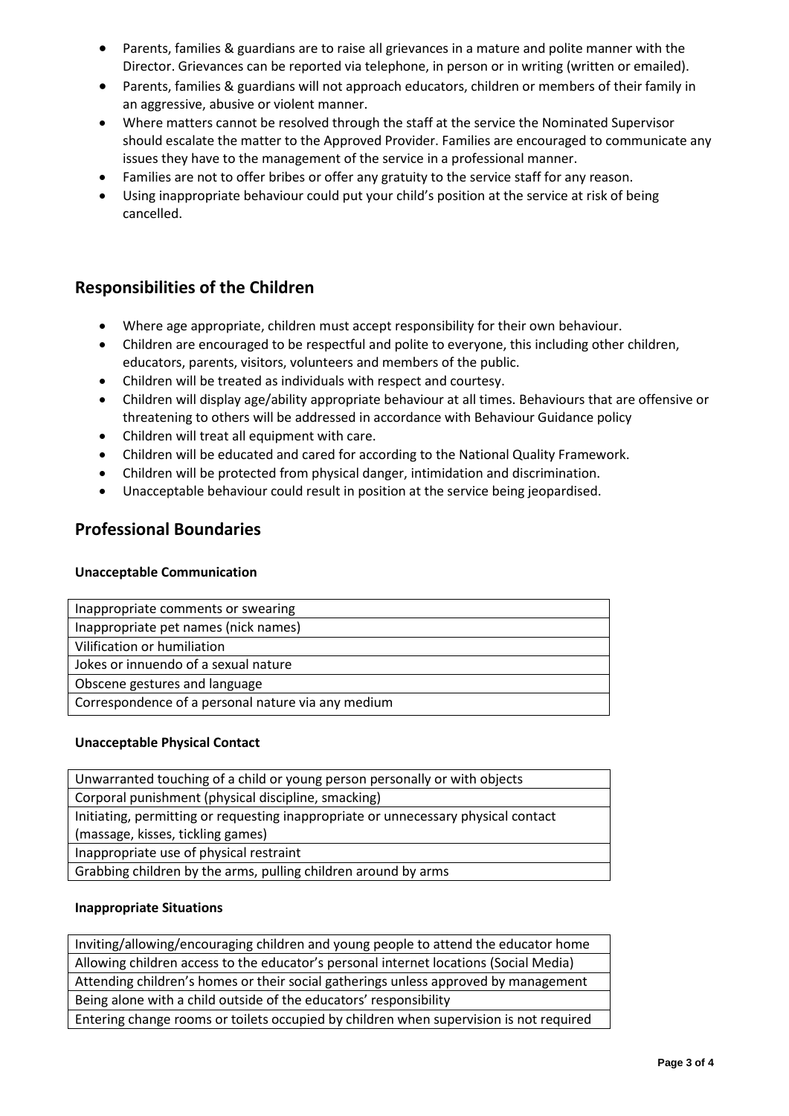- Parents, families & guardians are to raise all grievances in a mature and polite manner with the Director. Grievances can be reported via telephone, in person or in writing (written or emailed).
- Parents, families & guardians will not approach educators, children or members of their family in an aggressive, abusive or violent manner.
- Where matters cannot be resolved through the staff at the service the Nominated Supervisor should escalate the matter to the Approved Provider. Families are encouraged to communicate any issues they have to the management of the service in a professional manner.
- Families are not to offer bribes or offer any gratuity to the service staff for any reason.
- Using inappropriate behaviour could put your child's position at the service at risk of being cancelled.

# **Responsibilities of the Children**

- Where age appropriate, children must accept responsibility for their own behaviour.
- Children are encouraged to be respectful and polite to everyone, this including other children, educators, parents, visitors, volunteers and members of the public.
- Children will be treated as individuals with respect and courtesy.
- Children will display age/ability appropriate behaviour at all times. Behaviours that are offensive or threatening to others will be addressed in accordance with Behaviour Guidance policy
- Children will treat all equipment with care.
- Children will be educated and cared for according to the National Quality Framework.
- Children will be protected from physical danger, intimidation and discrimination.
- Unacceptable behaviour could result in position at the service being jeopardised.

### **Professional Boundaries**

### **Unacceptable Communication**

| Inappropriate comments or swearing                 |  |
|----------------------------------------------------|--|
| Inappropriate pet names (nick names)               |  |
| Vilification or humiliation                        |  |
| Jokes or innuendo of a sexual nature               |  |
| Obscene gestures and language                      |  |
| Correspondence of a personal nature via any medium |  |

### **Unacceptable Physical Contact**

Unwarranted touching of a child or young person personally or with objects Corporal punishment (physical discipline, smacking) Initiating, permitting or requesting inappropriate or unnecessary physical contact (massage, kisses, tickling games) Inappropriate use of physical restraint Grabbing children by the arms, pulling children around by arms

### **Inappropriate Situations**

Inviting/allowing/encouraging children and young people to attend the educator home Allowing children access to the educator's personal internet locations (Social Media) Attending children's homes or their social gatherings unless approved by management Being alone with a child outside of the educators' responsibility Entering change rooms or toilets occupied by children when supervision is not required